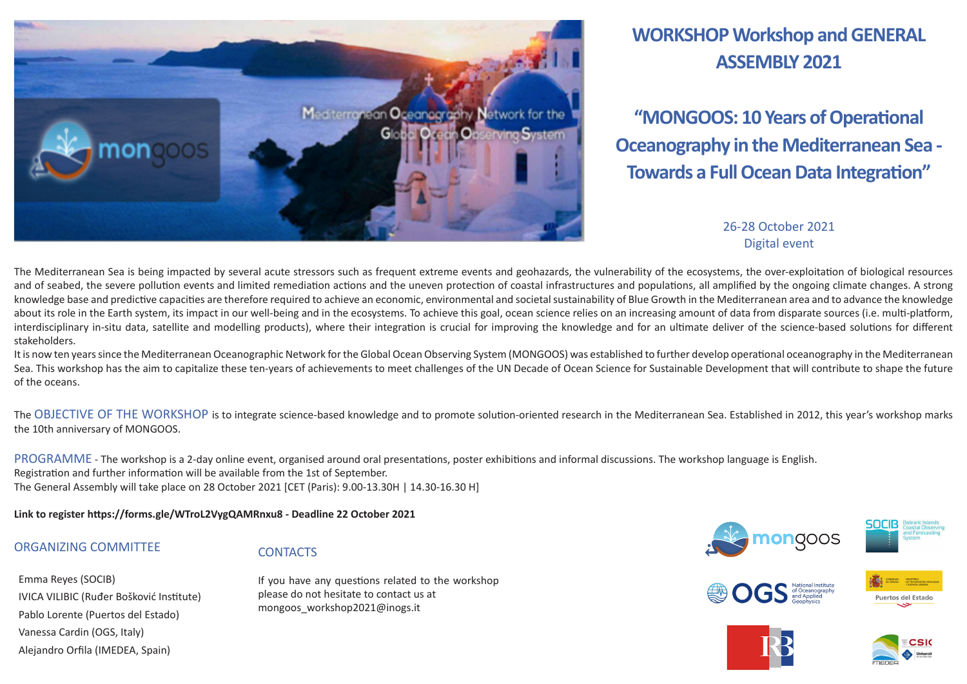

# **WORKSHOP Workshop and GENERAL ASSEMBLY 2021**

**"MONGOOS: 10 Years of Operational Oceanography in the Mediterranean Sea - Towards a Full Ocean Data Integration"** 

> 26-28 October 2021 Digital event

The Mediterranean Sea is being impacted by several acute stressors such as frequent extreme events and geohazards, the vulnerability of the ecosystems, the over-exploitation of biological resources and of seabed, the severe pollution events and limited remediation actions and the uneven protection of coastal infrastructures and populations, all amplified by the ongoing climate changes. A strong knowledge base and predictive capacities are therefore required to achieve an economic, environmental and societal sustainability of Blue Growth in the Mediterranean area and to advance the knowledge about its role in the Earth system, its impact in our well-being and in the ecosystems. To achieve this goal, ocean science relies on an increasing amount of data from disparate sources (i.e. multi-platform, interdisciplinary in-situ data, satellite and modelling products), where their integration is crucial for improving the knowledge and for an ultimate deliver of the science-based solutions for different stakeholders.

It is now ten years since the Mediterranean Oceanographic Network for the Global Ocean Observing System (MONGOOS) was established to further develop operational oceanography in the Mediterranean Sea. This workshop has the aim to capitalize these ten-years of achievements to meet challenges of the UN Decade of Ocean Science for Sustainable Development that will contribute to shape the future of the oceans.

The OBJECTIVE OF THE WORKSHOP is to integrate science-based knowledge and to promote solution-oriented research in the Mediterranean Sea. Established in 2012, this year's workshop marks the 10th anniversary of MONGOOS.

PROGRAMME - The workshop is a 2-day online event, organised around oral presentations, poster exhibitions and informal discussions. The workshop language is English. Registration and further information will be available from the 1st of September. The General Assembly will take place on 28 October 2021 [CET (Paris): 9.00-13.30H | 14.30-16.30 H]

**Link to register https://forms.gle/WTroL2VygQAMRnxu8 - Deadline 22 October 2021**

#### ORGANIZING COMMITTEE

#### **CONTACTS**

Emma Reyes (SOCIB) IVICA VILIBIC (Ruđer Bošković Institute) Pablo Lorente (Puertos del Estado) Vanessa Cardin (OGS, Italy) Alejandro Orfila (IMEDEA, Spain)

If you have any questions related to the workshop please do not hesitate to contact us at mongoos\_workshop2021@inogs.it